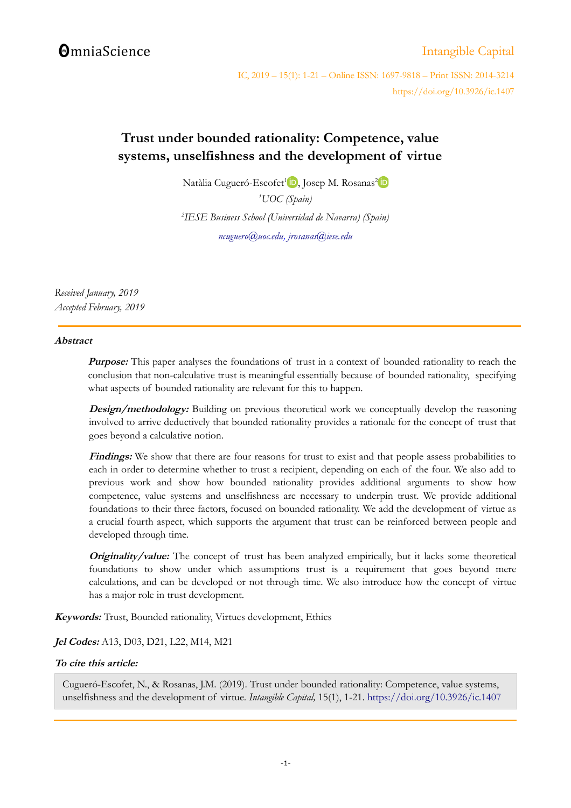# **OmniaScience**

## [Intangible Capital](http://www.intangiblecapital.org/)

IC, 2019 – 15(1): 1-21 – Online ISSN: 1697-9818 – Print ISSN: 2014-3214 https://doi.org/10.3926/ic.1407

## **Trust under bounded rationality: Competence, value systems, unselfishness and the development of virtue**

Natàlia Cugueró-Escofet<sup>[1](https://orcid.org/0000-0001-6460-0281)</sup>D, Josep M. Rosanas<sup>[2](https://orcid.org/0000-0002-1667-2851)</sup> *<sup>1</sup>UOC (Spain) 2 IESE Business School (Universidad de Navarra) (Spain) [ncuguero@uoc.edu,](mailto:ncuguero@uoc.edu) [jrosanas@iese.edu](mailto:jrosanas@iese.edu)*

*Received January, 2019 Accepted February, 2019*

#### **Abstract**

**Purpose:** This paper analyses the foundations of trust in a context of bounded rationality to reach the conclusion that non-calculative trust is meaningful essentially because of bounded rationality, specifying what aspects of bounded rationality are relevant for this to happen.

**Design/methodology:** Building on previous theoretical work we conceptually develop the reasoning involved to arrive deductively that bounded rationality provides a rationale for the concept of trust that goes beyond a calculative notion.

**Findings:** We show that there are four reasons for trust to exist and that people assess probabilities to each in order to determine whether to trust a recipient, depending on each of the four. We also add to previous work and show how bounded rationality provides additional arguments to show how competence, value systems and unselfishness are necessary to underpin trust. We provide additional foundations to their three factors, focused on bounded rationality. We add the development of virtue as a crucial fourth aspect, which supports the argument that trust can be reinforced between people and developed through time.

**Originality/value:** The concept of trust has been analyzed empirically, but it lacks some theoretical foundations to show under which assumptions trust is a requirement that goes beyond mere calculations, and can be developed or not through time. We also introduce how the concept of virtue has a major role in trust development.

**Keywords:** Trust, Bounded rationality, Virtues development, Ethics

**Jel Codes:** A13, D03, D21, L22, M14, M21

#### **To cite this article:**

Cugueró-Escofet, N., & Rosanas, J.M. (2019). Trust under bounded rationality: Competence, value systems, unselfishness and the development of virtue. *Intangible Capital,* 15(1), 1-21.<https://doi.org/10.3926/ic.1407>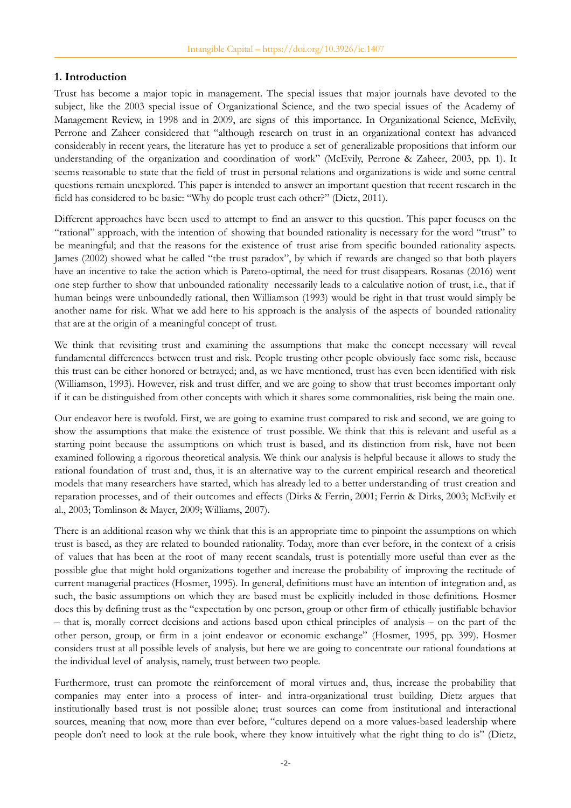## **1. Introduction**

Trust has become a major topic in management. The special issues that major journals have devoted to the subject, like the 2003 special issue of Organizational Science, and the two special issues of the Academy of Management Review, in 1998 and in 2009, are signs of this importance. In Organizational Science, McEvily, Perrone and Zaheer considered that "although research on trust in an organizational context has advanced considerably in recent years, the literature has yet to produce a set of generalizable propositions that inform our understanding of the organization and coordination of work" (McEvily, Perrone & Zaheer, 2003, pp. 1). It seems reasonable to state that the field of trust in personal relations and organizations is wide and some central questions remain unexplored. This paper is intended to answer an important question that recent research in the field has considered to be basic: "Why do people trust each other?" (Dietz, 2011).

Different approaches have been used to attempt to find an answer to this question. This paper focuses on the "rational" approach, with the intention of showing that bounded rationality is necessary for the word "trust" to be meaningful; and that the reasons for the existence of trust arise from specific bounded rationality aspects. James (2002) showed what he called "the trust paradox", by which if rewards are changed so that both players have an incentive to take the action which is Pareto-optimal, the need for trust disappears. Rosanas (2016) went one step further to show that unbounded rationality necessarily leads to a calculative notion of trust, i.e., that if human beings were unboundedly rational, then Williamson (1993) would be right in that trust would simply be another name for risk. What we add here to his approach is the analysis of the aspects of bounded rationality that are at the origin of a meaningful concept of trust.

We think that revisiting trust and examining the assumptions that make the concept necessary will reveal fundamental differences between trust and risk. People trusting other people obviously face some risk, because this trust can be either honored or betrayed; and, as we have mentioned, trust has even been identified with risk (Williamson, 1993). However, risk and trust differ, and we are going to show that trust becomes important only if it can be distinguished from other concepts with which it shares some commonalities, risk being the main one.

Our endeavor here is twofold. First, we are going to examine trust compared to risk and second, we are going to show the assumptions that make the existence of trust possible. We think that this is relevant and useful as a starting point because the assumptions on which trust is based, and its distinction from risk, have not been examined following a rigorous theoretical analysis. We think our analysis is helpful because it allows to study the rational foundation of trust and, thus, it is an alternative way to the current empirical research and theoretical models that many researchers have started, which has already led to a better understanding of trust creation and reparation processes, and of their outcomes and effects (Dirks & Ferrin, 2001; Ferrin & Dirks, 2003; McEvily et al., 2003; Tomlinson & Mayer, 2009; Williams, 2007).

There is an additional reason why we think that this is an appropriate time to pinpoint the assumptions on which trust is based, as they are related to bounded rationality. Today, more than ever before, in the context of a crisis of values that has been at the root of many recent scandals, trust is potentially more useful than ever as the possible glue that might hold organizations together and increase the probability of improving the rectitude of current managerial practices (Hosmer, 1995). In general, definitions must have an intention of integration and, as such, the basic assumptions on which they are based must be explicitly included in those definitions. Hosmer does this by defining trust as the "expectation by one person, group or other firm of ethically justifiable behavior – that is, morally correct decisions and actions based upon ethical principles of analysis – on the part of the other person, group, or firm in a joint endeavor or economic exchange" (Hosmer, 1995, pp. 399). Hosmer considers trust at all possible levels of analysis, but here we are going to concentrate our rational foundations at the individual level of analysis, namely, trust between two people.

Furthermore, trust can promote the reinforcement of moral virtues and, thus, increase the probability that companies may enter into a process of inter- and intra-organizational trust building. Dietz argues that institutionally based trust is not possible alone; trust sources can come from institutional and interactional sources, meaning that now, more than ever before, "cultures depend on a more values-based leadership where people don't need to look at the rule book, where they know intuitively what the right thing to do is" (Dietz,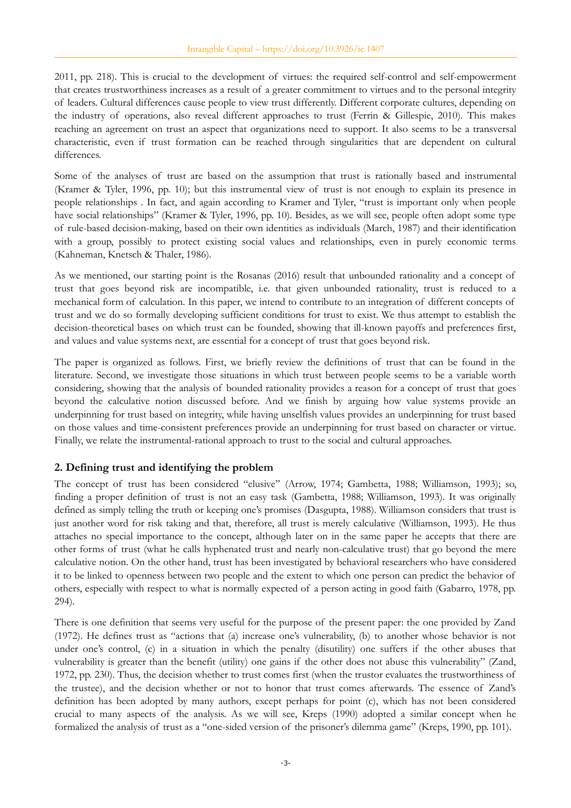2011, pp. 218). This is crucial to the development of virtues: the required self-control and self-empowerment that creates trustworthiness increases as a result of a greater commitment to virtues and to the personal integrity of leaders. Cultural differences cause people to view trust differently. Different corporate cultures, depending on the industry of operations, also reveal different approaches to trust (Ferrin & Gillespie, 2010). This makes reaching an agreement on trust an aspect that organizations need to support. It also seems to be a transversal characteristic, even if trust formation can be reached through singularities that are dependent on cultural differences.

Some of the analyses of trust are based on the assumption that trust is rationally based and instrumental (Kramer & Tyler, 1996, pp. 10); but this instrumental view of trust is not enough to explain its presence in people relationships . In fact, and again according to Kramer and Tyler, "trust is important only when people have social relationships" (Kramer & Tyler, 1996, pp. 10). Besides, as we will see, people often adopt some type of rule-based decision-making, based on their own identities as individuals (March, 1987) and their identification with a group, possibly to protect existing social values and relationships, even in purely economic terms (Kahneman, Knetsch & Thaler, 1986).

As we mentioned, our starting point is the Rosanas (2016) result that unbounded rationality and a concept of trust that goes beyond risk are incompatible, i.e. that given unbounded rationality, trust is reduced to a mechanical form of calculation. In this paper, we intend to contribute to an integration of different concepts of trust and we do so formally developing sufficient conditions for trust to exist. We thus attempt to establish the decision-theoretical bases on which trust can be founded, showing that ill-known payoffs and preferences first, and values and value systems next, are essential for a concept of trust that goes beyond risk.

The paper is organized as follows. First, we briefly review the definitions of trust that can be found in the literature. Second, we investigate those situations in which trust between people seems to be a variable worth considering, showing that the analysis of bounded rationality provides a reason for a concept of trust that goes beyond the calculative notion discussed before. And we finish by arguing how value systems provide an underpinning for trust based on integrity, while having unselfish values provides an underpinning for trust based on those values and time-consistent preferences provide an underpinning for trust based on character or virtue. Finally, we relate the instrumental-rational approach to trust to the social and cultural approaches.

## **2. Defining trust and identifying the problem**

The concept of trust has been considered "elusive" (Arrow, 1974; Gambetta, 1988; Williamson, 1993); so, finding a proper definition of trust is not an easy task (Gambetta, 1988; Williamson, 1993). It was originally defined as simply telling the truth or keeping one's promises (Dasgupta, 1988). Williamson considers that trust is just another word for risk taking and that, therefore, all trust is merely calculative (Williamson, 1993). He thus attaches no special importance to the concept, although later on in the same paper he accepts that there are other forms of trust (what he calls hyphenated trust and nearly non-calculative trust) that go beyond the mere calculative notion. On the other hand, trust has been investigated by behavioral researchers who have considered it to be linked to openness between two people and the extent to which one person can predict the behavior of others, especially with respect to what is normally expected of a person acting in good faith (Gabarro, 1978, pp. 294).

There is one definition that seems very useful for the purpose of the present paper: the one provided by Zand (1972). He defines trust as "actions that (a) increase one's vulnerability, (b) to another whose behavior is not under one's control, (c) in a situation in which the penalty (disutility) one suffers if the other abuses that vulnerability is greater than the benefit (utility) one gains if the other does not abuse this vulnerability" (Zand, 1972, pp. 230). Thus, the decision whether to trust comes first (when the trustor evaluates the trustworthiness of the trustee), and the decision whether or not to honor that trust comes afterwards. The essence of Zand's definition has been adopted by many authors, except perhaps for point (c), which has not been considered crucial to many aspects of the analysis. As we will see, Kreps (1990) adopted a similar concept when he formalized the analysis of trust as a "one-sided version of the prisoner's dilemma game" (Kreps, 1990, pp. 101).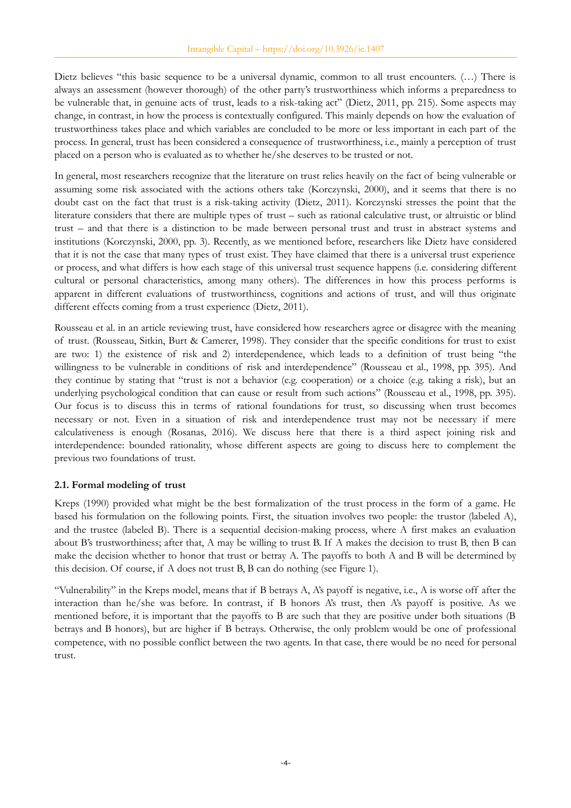Dietz believes "this basic sequence to be a universal dynamic, common to all trust encounters. (…) There is always an assessment (however thorough) of the other party's trustworthiness which informs a preparedness to be vulnerable that, in genuine acts of trust, leads to a risk-taking act" (Dietz, 2011, pp. 215). Some aspects may change, in contrast, in how the process is contextually configured. This mainly depends on how the evaluation of trustworthiness takes place and which variables are concluded to be more or less important in each part of the process. In general, trust has been considered a consequence of trustworthiness, i.e., mainly a perception of trust placed on a person who is evaluated as to whether he/she deserves to be trusted or not.

In general, most researchers recognize that the literature on trust relies heavily on the fact of being vulnerable or assuming some risk associated with the actions others take (Korczynski, 2000), and it seems that there is no doubt cast on the fact that trust is a risk-taking activity (Dietz, 2011). Korczynski stresses the point that the literature considers that there are multiple types of trust – such as rational calculative trust, or altruistic or blind trust – and that there is a distinction to be made between personal trust and trust in abstract systems and institutions (Korczynski, 2000, pp. 3). Recently, as we mentioned before, researchers like Dietz have considered that it is not the case that many types of trust exist. They have claimed that there is a universal trust experience or process, and what differs is how each stage of this universal trust sequence happens (i.e. considering different cultural or personal characteristics, among many others). The differences in how this process performs is apparent in different evaluations of trustworthiness, cognitions and actions of trust, and will thus originate different effects coming from a trust experience (Dietz, 2011).

Rousseau et al. in an article reviewing trust, have considered how researchers agree or disagree with the meaning of trust. (Rousseau, Sitkin, Burt & Camerer, 1998). They consider that the specific conditions for trust to exist are two: 1) the existence of risk and 2) interdependence, which leads to a definition of trust being "the willingness to be vulnerable in conditions of risk and interdependence" (Rousseau et al., 1998, pp. 395). And they continue by stating that "trust is not a behavior (e.g. cooperation) or a choice (e.g. taking a risk), but an underlying psychological condition that can cause or result from such actions" (Rousseau et al., 1998, pp. 395). Our focus is to discuss this in terms of rational foundations for trust, so discussing when trust becomes necessary or not. Even in a situation of risk and interdependence trust may not be necessary if mere calculativeness is enough (Rosanas, 2016). We discuss here that there is a third aspect joining risk and interdependence: bounded rationality, whose different aspects are going to discuss here to complement the previous two foundations of trust.

#### **2.1. Formal modeling of trust**

Kreps (1990) provided what might be the best formalization of the trust process in the form of a game. He based his formulation on the following points. First, the situation involves two people: the trustor (labeled A), and the trustee (labeled B). There is a sequential decision-making process, where A first makes an evaluation about B's trustworthiness; after that, A may be willing to trust B. If A makes the decision to trust B, then B can make the decision whether to honor that trust or betray A. The payoffs to both A and B will be determined by this decision. Of course, if A does not trust B, B can do nothing (see Figure 1).

"Vulnerability" in the Kreps model, means that if B betrays A, A's payoff is negative, i.e., A is worse off after the interaction than he/she was before. In contrast, if B honors A's trust, then A's payoff is positive. As we mentioned before, it is important that the payoffs to B are such that they are positive under both situations (B betrays and B honors), but are higher if B betrays. Otherwise, the only problem would be one of professional competence, with no possible conflict between the two agents. In that case, there would be no need for personal trust.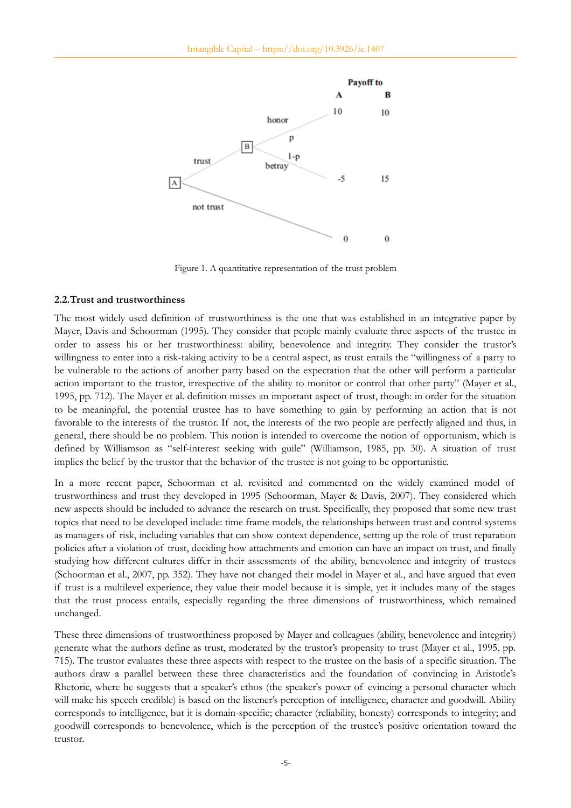

Figure 1. A quantitative representation of the trust problem

#### **2.2.Trust and trustworthiness**

The most widely used definition of trustworthiness is the one that was established in an integrative paper by Mayer, Davis and Schoorman (1995). They consider that people mainly evaluate three aspects of the trustee in order to assess his or her trustworthiness: ability, benevolence and integrity. They consider the trustor's willingness to enter into a risk-taking activity to be a central aspect, as trust entails the "willingness of a party to be vulnerable to the actions of another party based on the expectation that the other will perform a particular action important to the trustor, irrespective of the ability to monitor or control that other party" (Mayer et al., 1995, pp. 712). The Mayer et al. definition misses an important aspect of trust, though: in order for the situation to be meaningful, the potential trustee has to have something to gain by performing an action that is not favorable to the interests of the trustor. If not, the interests of the two people are perfectly aligned and thus, in general, there should be no problem. This notion is intended to overcome the notion of opportunism, which is defined by Williamson as "self-interest seeking with guile" (Williamson, 1985, pp. 30). A situation of trust implies the belief by the trustor that the behavior of the trustee is not going to be opportunistic.

In a more recent paper, Schoorman et al. revisited and commented on the widely examined model of trustworthiness and trust they developed in 1995 (Schoorman, Mayer & Davis, 2007). They considered which new aspects should be included to advance the research on trust. Specifically, they proposed that some new trust topics that need to be developed include: time frame models, the relationships between trust and control systems as managers of risk, including variables that can show context dependence, setting up the role of trust reparation policies after a violation of trust, deciding how attachments and emotion can have an impact on trust, and finally studying how different cultures differ in their assessments of the ability, benevolence and integrity of trustees (Schoorman et al., 2007, pp. 352). They have not changed their model in Mayer et al., and have argued that even if trust is a multilevel experience, they value their model because it is simple, yet it includes many of the stages that the trust process entails, especially regarding the three dimensions of trustworthiness, which remained unchanged.

These three dimensions of trustworthiness proposed by Mayer and colleagues (ability, benevolence and integrity) generate what the authors define as trust, moderated by the trustor's propensity to trust (Mayer et al., 1995, pp. 715). The trustor evaluates these three aspects with respect to the trustee on the basis of a specific situation. The authors draw a parallel between these three characteristics and the foundation of convincing in Aristotle's Rhetoric, where he suggests that a speaker's ethos (the speaker's power of evincing a personal character which will make his speech credible) is based on the listener's perception of intelligence, character and goodwill. Ability corresponds to intelligence, but it is domain-specific; character (reliability, honesty) corresponds to integrity; and goodwill corresponds to benevolence, which is the perception of the trustee's positive orientation toward the trustor.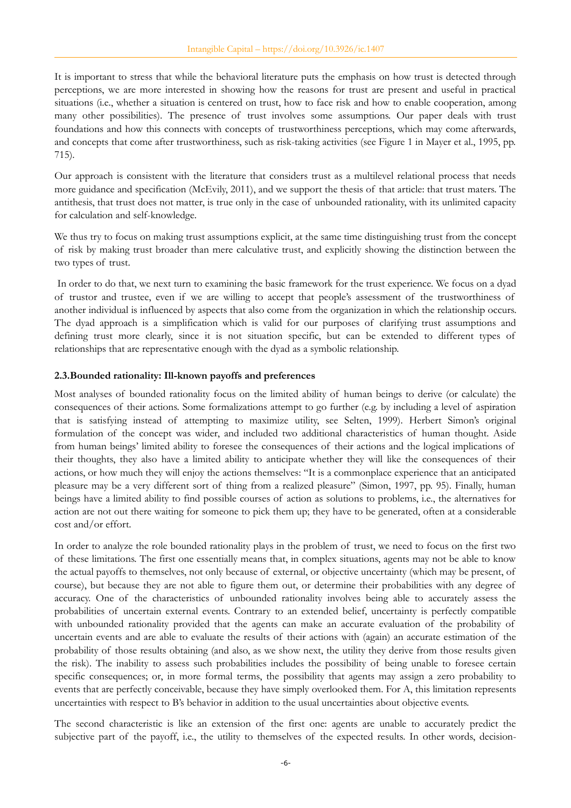It is important to stress that while the behavioral literature puts the emphasis on how trust is detected through perceptions, we are more interested in showing how the reasons for trust are present and useful in practical situations (i.e., whether a situation is centered on trust, how to face risk and how to enable cooperation, among many other possibilities). The presence of trust involves some assumptions. Our paper deals with trust foundations and how this connects with concepts of trustworthiness perceptions, which may come afterwards, and concepts that come after trustworthiness, such as risk-taking activities (see Figure 1 in Mayer et al., 1995, pp. 715).

Our approach is consistent with the literature that considers trust as a multilevel relational process that needs more guidance and specification (McEvily, 2011), and we support the thesis of that article: that trust maters. The antithesis, that trust does not matter, is true only in the case of unbounded rationality, with its unlimited capacity for calculation and self-knowledge.

We thus try to focus on making trust assumptions explicit, at the same time distinguishing trust from the concept of risk by making trust broader than mere calculative trust, and explicitly showing the distinction between the two types of trust.

 In order to do that, we next turn to examining the basic framework for the trust experience. We focus on a dyad of trustor and trustee, even if we are willing to accept that people's assessment of the trustworthiness of another individual is influenced by aspects that also come from the organization in which the relationship occurs. The dyad approach is a simplification which is valid for our purposes of clarifying trust assumptions and defining trust more clearly, since it is not situation specific, but can be extended to different types of relationships that are representative enough with the dyad as a symbolic relationship.

#### **2.3.Bounded rationality: Ill-known payoffs and preferences**

Most analyses of bounded rationality focus on the limited ability of human beings to derive (or calculate) the consequences of their actions. Some formalizations attempt to go further (e.g. by including a level of aspiration that is satisfying instead of attempting to maximize utility, see Selten, 1999). Herbert Simon's original formulation of the concept was wider, and included two additional characteristics of human thought. Aside from human beings' limited ability to foresee the consequences of their actions and the logical implications of their thoughts, they also have a limited ability to anticipate whether they will like the consequences of their actions, or how much they will enjoy the actions themselves: "It is a commonplace experience that an anticipated pleasure may be a very different sort of thing from a realized pleasure" (Simon, 1997, pp. 95). Finally, human beings have a limited ability to find possible courses of action as solutions to problems, i.e., the alternatives for action are not out there waiting for someone to pick them up; they have to be generated, often at a considerable cost and/or effort.

In order to analyze the role bounded rationality plays in the problem of trust, we need to focus on the first two of these limitations. The first one essentially means that, in complex situations, agents may not be able to know the actual payoffs to themselves, not only because of external, or objective uncertainty (which may be present, of course), but because they are not able to figure them out, or determine their probabilities with any degree of accuracy. One of the characteristics of unbounded rationality involves being able to accurately assess the probabilities of uncertain external events. Contrary to an extended belief, uncertainty is perfectly compatible with unbounded rationality provided that the agents can make an accurate evaluation of the probability of uncertain events and are able to evaluate the results of their actions with (again) an accurate estimation of the probability of those results obtaining (and also, as we show next, the utility they derive from those results given the risk). The inability to assess such probabilities includes the possibility of being unable to foresee certain specific consequences; or, in more formal terms, the possibility that agents may assign a zero probability to events that are perfectly conceivable, because they have simply overlooked them. For A, this limitation represents uncertainties with respect to B's behavior in addition to the usual uncertainties about objective events.

The second characteristic is like an extension of the first one: agents are unable to accurately predict the subjective part of the payoff, i.e., the utility to themselves of the expected results. In other words, decision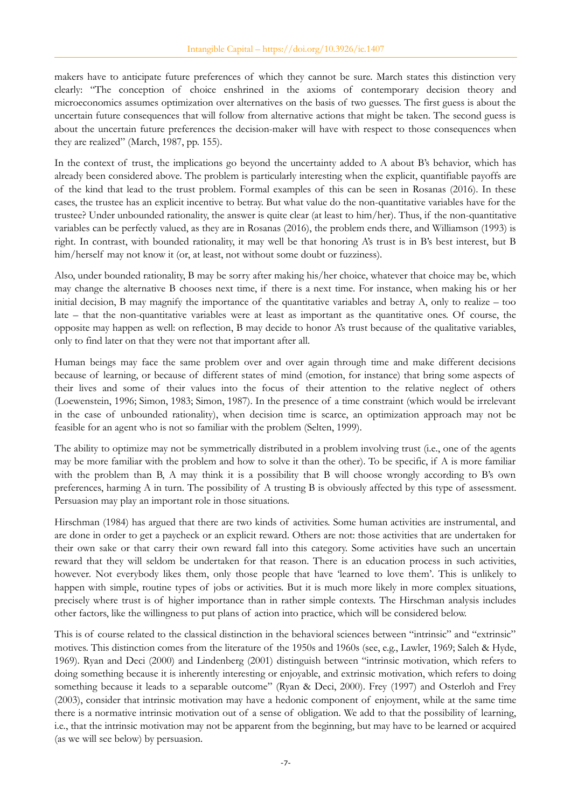makers have to anticipate future preferences of which they cannot be sure. March states this distinction very clearly: "The conception of choice enshrined in the axioms of contemporary decision theory and microeconomics assumes optimization over alternatives on the basis of two guesses. The first guess is about the uncertain future consequences that will follow from alternative actions that might be taken. The second guess is about the uncertain future preferences the decision-maker will have with respect to those consequences when they are realized" (March, 1987, pp. 155).

In the context of trust, the implications go beyond the uncertainty added to A about B's behavior, which has already been considered above. The problem is particularly interesting when the explicit, quantifiable payoffs are of the kind that lead to the trust problem. Formal examples of this can be seen in Rosanas (2016). In these cases, the trustee has an explicit incentive to betray. But what value do the non-quantitative variables have for the trustee? Under unbounded rationality, the answer is quite clear (at least to him/her). Thus, if the non-quantitative variables can be perfectly valued, as they are in Rosanas (2016), the problem ends there, and Williamson (1993) is right. In contrast, with bounded rationality, it may well be that honoring A's trust is in B's best interest, but B him/herself may not know it (or, at least, not without some doubt or fuzziness).

Also, under bounded rationality, B may be sorry after making his/her choice, whatever that choice may be, which may change the alternative B chooses next time, if there is a next time. For instance, when making his or her initial decision, B may magnify the importance of the quantitative variables and betray A, only to realize – too late – that the non-quantitative variables were at least as important as the quantitative ones. Of course, the opposite may happen as well: on reflection, B may decide to honor A's trust because of the qualitative variables, only to find later on that they were not that important after all.

Human beings may face the same problem over and over again through time and make different decisions because of learning, or because of different states of mind (emotion, for instance) that bring some aspects of their lives and some of their values into the focus of their attention to the relative neglect of others (Loewenstein, 1996; Simon, 1983; Simon, 1987). In the presence of a time constraint (which would be irrelevant in the case of unbounded rationality), when decision time is scarce, an optimization approach may not be feasible for an agent who is not so familiar with the problem (Selten, 1999).

The ability to optimize may not be symmetrically distributed in a problem involving trust (i.e., one of the agents may be more familiar with the problem and how to solve it than the other). To be specific, if A is more familiar with the problem than B, A may think it is a possibility that B will choose wrongly according to B's own preferences, harming A in turn. The possibility of A trusting B is obviously affected by this type of assessment. Persuasion may play an important role in those situations.

Hirschman (1984) has argued that there are two kinds of activities. Some human activities are instrumental, and are done in order to get a paycheck or an explicit reward. Others are not: those activities that are undertaken for their own sake or that carry their own reward fall into this category. Some activities have such an uncertain reward that they will seldom be undertaken for that reason. There is an education process in such activities, however. Not everybody likes them, only those people that have 'learned to love them'. This is unlikely to happen with simple, routine types of jobs or activities. But it is much more likely in more complex situations, precisely where trust is of higher importance than in rather simple contexts. The Hirschman analysis includes other factors, like the willingness to put plans of action into practice, which will be considered below.

This is of course related to the classical distinction in the behavioral sciences between "intrinsic" and "extrinsic" motives. This distinction comes from the literature of the 1950s and 1960s (see, e.g., Lawler, 1969; Saleh & Hyde, 1969). Ryan and Deci (2000) and Lindenberg (2001) distinguish between "intrinsic motivation, which refers to doing something because it is inherently interesting or enjoyable, and extrinsic motivation, which refers to doing something because it leads to a separable outcome" (Ryan & Deci, 2000). Frey (1997) and Osterloh and Frey (2003), consider that intrinsic motivation may have a hedonic component of enjoyment, while at the same time there is a normative intrinsic motivation out of a sense of obligation. We add to that the possibility of learning, i.e., that the intrinsic motivation may not be apparent from the beginning, but may have to be learned or acquired (as we will see below) by persuasion.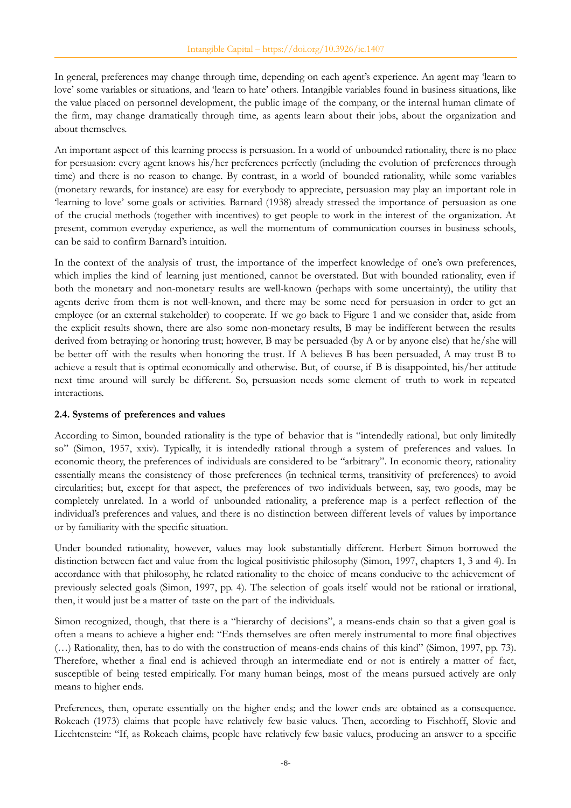In general, preferences may change through time, depending on each agent's experience. An agent may 'learn to love' some variables or situations, and 'learn to hate' others. Intangible variables found in business situations, like the value placed on personnel development, the public image of the company, or the internal human climate of the firm, may change dramatically through time, as agents learn about their jobs, about the organization and about themselves.

An important aspect of this learning process is persuasion. In a world of unbounded rationality, there is no place for persuasion: every agent knows his/her preferences perfectly (including the evolution of preferences through time) and there is no reason to change. By contrast, in a world of bounded rationality, while some variables (monetary rewards, for instance) are easy for everybody to appreciate, persuasion may play an important role in 'learning to love' some goals or activities. Barnard (1938) already stressed the importance of persuasion as one of the crucial methods (together with incentives) to get people to work in the interest of the organization. At present, common everyday experience, as well the momentum of communication courses in business schools, can be said to confirm Barnard's intuition.

In the context of the analysis of trust, the importance of the imperfect knowledge of one's own preferences, which implies the kind of learning just mentioned, cannot be overstated. But with bounded rationality, even if both the monetary and non-monetary results are well-known (perhaps with some uncertainty), the utility that agents derive from them is not well-known, and there may be some need for persuasion in order to get an employee (or an external stakeholder) to cooperate. If we go back to Figure 1 and we consider that, aside from the explicit results shown, there are also some non-monetary results, B may be indifferent between the results derived from betraying or honoring trust; however, B may be persuaded (by A or by anyone else) that he/she will be better off with the results when honoring the trust. If A believes B has been persuaded, A may trust B to achieve a result that is optimal economically and otherwise. But, of course, if B is disappointed, his/her attitude next time around will surely be different. So, persuasion needs some element of truth to work in repeated interactions.

#### **2.4. Systems of preferences and values**

According to Simon, bounded rationality is the type of behavior that is "intendedly rational, but only limitedly so" (Simon, 1957, xxiv). Typically, it is intendedly rational through a system of preferences and values. In economic theory, the preferences of individuals are considered to be "arbitrary". In economic theory, rationality essentially means the consistency of those preferences (in technical terms, transitivity of preferences) to avoid circularities; but, except for that aspect, the preferences of two individuals between, say, two goods, may be completely unrelated. In a world of unbounded rationality, a preference map is a perfect reflection of the individual's preferences and values, and there is no distinction between different levels of values by importance or by familiarity with the specific situation.

Under bounded rationality, however, values may look substantially different. Herbert Simon borrowed the distinction between fact and value from the logical positivistic philosophy (Simon, 1997, chapters 1, 3 and 4). In accordance with that philosophy, he related rationality to the choice of means conducive to the achievement of previously selected goals (Simon, 1997, pp. 4). The selection of goals itself would not be rational or irrational, then, it would just be a matter of taste on the part of the individuals.

Simon recognized, though, that there is a "hierarchy of decisions", a means-ends chain so that a given goal is often a means to achieve a higher end: "Ends themselves are often merely instrumental to more final objectives (…) Rationality, then, has to do with the construction of means-ends chains of this kind" (Simon, 1997, pp. 73). Therefore, whether a final end is achieved through an intermediate end or not is entirely a matter of fact, susceptible of being tested empirically. For many human beings, most of the means pursued actively are only means to higher ends.

Preferences, then, operate essentially on the higher ends; and the lower ends are obtained as a consequence. Rokeach (1973) claims that people have relatively few basic values. Then, according to Fischhoff, Slovic and Liechtenstein: "If, as Rokeach claims, people have relatively few basic values, producing an answer to a specific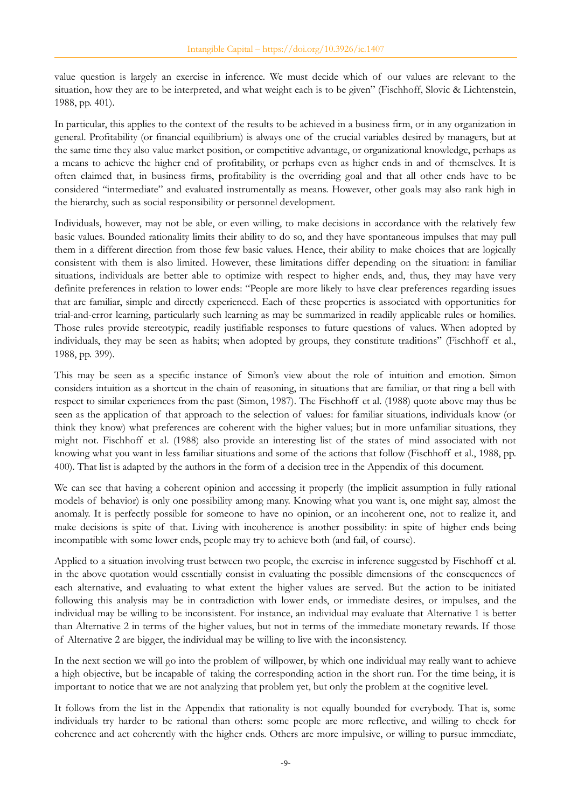value question is largely an exercise in inference. We must decide which of our values are relevant to the situation, how they are to be interpreted, and what weight each is to be given" (Fischhoff, Slovic & Lichtenstein, 1988, pp. 401).

In particular, this applies to the context of the results to be achieved in a business firm, or in any organization in general. Profitability (or financial equilibrium) is always one of the crucial variables desired by managers, but at the same time they also value market position, or competitive advantage, or organizational knowledge, perhaps as a means to achieve the higher end of profitability, or perhaps even as higher ends in and of themselves. It is often claimed that, in business firms, profitability is the overriding goal and that all other ends have to be considered "intermediate" and evaluated instrumentally as means. However, other goals may also rank high in the hierarchy, such as social responsibility or personnel development.

Individuals, however, may not be able, or even willing, to make decisions in accordance with the relatively few basic values. Bounded rationality limits their ability to do so, and they have spontaneous impulses that may pull them in a different direction from those few basic values. Hence, their ability to make choices that are logically consistent with them is also limited. However, these limitations differ depending on the situation: in familiar situations, individuals are better able to optimize with respect to higher ends, and, thus, they may have very definite preferences in relation to lower ends: "People are more likely to have clear preferences regarding issues that are familiar, simple and directly experienced. Each of these properties is associated with opportunities for trial-and-error learning, particularly such learning as may be summarized in readily applicable rules or homilies. Those rules provide stereotypic, readily justifiable responses to future questions of values. When adopted by individuals, they may be seen as habits; when adopted by groups, they constitute traditions" (Fischhoff et al., 1988, pp. 399).

This may be seen as a specific instance of Simon's view about the role of intuition and emotion. Simon considers intuition as a shortcut in the chain of reasoning, in situations that are familiar, or that ring a bell with respect to similar experiences from the past (Simon, 1987). The Fischhoff et al. (1988) quote above may thus be seen as the application of that approach to the selection of values: for familiar situations, individuals know (or think they know) what preferences are coherent with the higher values; but in more unfamiliar situations, they might not. Fischhoff et al. (1988) also provide an interesting list of the states of mind associated with not knowing what you want in less familiar situations and some of the actions that follow (Fischhoff et al., 1988, pp. 400). That list is adapted by the authors in the form of a decision tree in the Appendix of this document.

We can see that having a coherent opinion and accessing it properly (the implicit assumption in fully rational models of behavior) is only one possibility among many. Knowing what you want is, one might say, almost the anomaly. It is perfectly possible for someone to have no opinion, or an incoherent one, not to realize it, and make decisions is spite of that. Living with incoherence is another possibility: in spite of higher ends being incompatible with some lower ends, people may try to achieve both (and fail, of course).

Applied to a situation involving trust between two people, the exercise in inference suggested by Fischhoff et al. in the above quotation would essentially consist in evaluating the possible dimensions of the consequences of each alternative, and evaluating to what extent the higher values are served. But the action to be initiated following this analysis may be in contradiction with lower ends, or immediate desires, or impulses, and the individual may be willing to be inconsistent. For instance, an individual may evaluate that Alternative 1 is better than Alternative 2 in terms of the higher values, but not in terms of the immediate monetary rewards. If those of Alternative 2 are bigger, the individual may be willing to live with the inconsistency.

In the next section we will go into the problem of willpower, by which one individual may really want to achieve a high objective, but be incapable of taking the corresponding action in the short run. For the time being, it is important to notice that we are not analyzing that problem yet, but only the problem at the cognitive level.

It follows from the list in the Appendix that rationality is not equally bounded for everybody. That is, some individuals try harder to be rational than others: some people are more reflective, and willing to check for coherence and act coherently with the higher ends. Others are more impulsive, or willing to pursue immediate,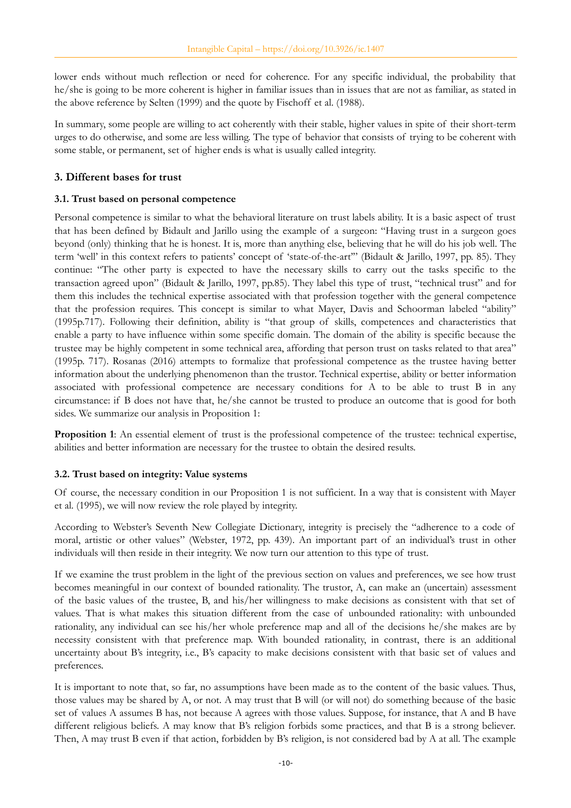lower ends without much reflection or need for coherence. For any specific individual, the probability that he/she is going to be more coherent is higher in familiar issues than in issues that are not as familiar, as stated in the above reference by Selten (1999) and the quote by Fischoff et al. (1988).

In summary, some people are willing to act coherently with their stable, higher values in spite of their short-term urges to do otherwise, and some are less willing. The type of behavior that consists of trying to be coherent with some stable, or permanent, set of higher ends is what is usually called integrity.

### **3. Different bases for trust**

#### **3.1. Trust based on personal competence**

Personal competence is similar to what the behavioral literature on trust labels ability. It is a basic aspect of trust that has been defined by Bidault and Jarillo using the example of a surgeon: "Having trust in a surgeon goes beyond (only) thinking that he is honest. It is, more than anything else, believing that he will do his job well. The term 'well' in this context refers to patients' concept of 'state-of-the-art'" (Bidault & Jarillo, 1997, pp. 85). They continue: "The other party is expected to have the necessary skills to carry out the tasks specific to the transaction agreed upon" (Bidault & Jarillo, 1997, pp.85). They label this type of trust, "technical trust" and for them this includes the technical expertise associated with that profession together with the general competence that the profession requires. This concept is similar to what Mayer, Davis and Schoorman labeled "ability" (1995p.717). Following their definition, ability is "that group of skills, competences and characteristics that enable a party to have influence within some specific domain. The domain of the ability is specific because the trustee may be highly competent in some technical area, affording that person trust on tasks related to that area" (1995p. 717). Rosanas (2016) attempts to formalize that professional competence as the trustee having better information about the underlying phenomenon than the trustor. Technical expertise, ability or better information associated with professional competence are necessary conditions for A to be able to trust B in any circumstance: if B does not have that, he/she cannot be trusted to produce an outcome that is good for both sides. We summarize our analysis in Proposition 1:

**Proposition 1**: An essential element of trust is the professional competence of the trustee: technical expertise, abilities and better information are necessary for the trustee to obtain the desired results.

### **3.2. Trust based on integrity: Value systems**

Of course, the necessary condition in our Proposition 1 is not sufficient. In a way that is consistent with Mayer et al. (1995), we will now review the role played by integrity.

According to Webster's Seventh New Collegiate Dictionary, integrity is precisely the "adherence to a code of moral, artistic or other values" (Webster, 1972, pp. 439). An important part of an individual's trust in other individuals will then reside in their integrity. We now turn our attention to this type of trust.

If we examine the trust problem in the light of the previous section on values and preferences, we see how trust becomes meaningful in our context of bounded rationality. The trustor, A, can make an (uncertain) assessment of the basic values of the trustee, B, and his/her willingness to make decisions as consistent with that set of values. That is what makes this situation different from the case of unbounded rationality: with unbounded rationality, any individual can see his/her whole preference map and all of the decisions he/she makes are by necessity consistent with that preference map. With bounded rationality, in contrast, there is an additional uncertainty about B's integrity, i.e., B's capacity to make decisions consistent with that basic set of values and preferences.

It is important to note that, so far, no assumptions have been made as to the content of the basic values. Thus, those values may be shared by A, or not. A may trust that B will (or will not) do something because of the basic set of values A assumes B has, not because A agrees with those values. Suppose, for instance, that A and B have different religious beliefs. A may know that B's religion forbids some practices, and that B is a strong believer. Then, A may trust B even if that action, forbidden by B's religion, is not considered bad by A at all. The example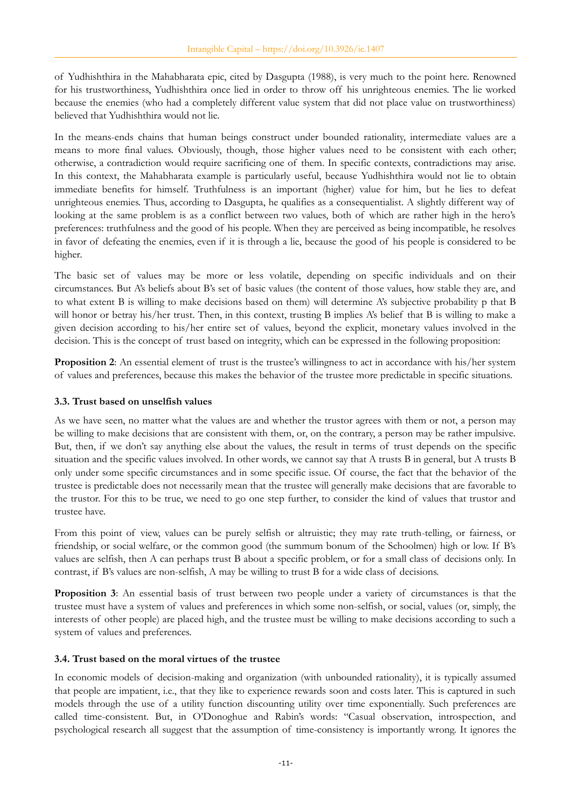of Yudhishthira in the Mahabharata epic, cited by Dasgupta (1988), is very much to the point here. Renowned for his trustworthiness, Yudhishthira once lied in order to throw off his unrighteous enemies. The lie worked because the enemies (who had a completely different value system that did not place value on trustworthiness) believed that Yudhishthira would not lie.

In the means-ends chains that human beings construct under bounded rationality, intermediate values are a means to more final values. Obviously, though, those higher values need to be consistent with each other; otherwise, a contradiction would require sacrificing one of them. In specific contexts, contradictions may arise. In this context, the Mahabharata example is particularly useful, because Yudhishthira would not lie to obtain immediate benefits for himself. Truthfulness is an important (higher) value for him, but he lies to defeat unrighteous enemies. Thus, according to Dasgupta, he qualifies as a consequentialist. A slightly different way of looking at the same problem is as a conflict between two values, both of which are rather high in the hero's preferences: truthfulness and the good of his people. When they are perceived as being incompatible, he resolves in favor of defeating the enemies, even if it is through a lie, because the good of his people is considered to be higher.

The basic set of values may be more or less volatile, depending on specific individuals and on their circumstances. But A's beliefs about B's set of basic values (the content of those values, how stable they are, and to what extent B is willing to make decisions based on them) will determine A's subjective probability p that B will honor or betray his/her trust. Then, in this context, trusting B implies A's belief that B is willing to make a given decision according to his/her entire set of values, beyond the explicit, monetary values involved in the decision. This is the concept of trust based on integrity, which can be expressed in the following proposition:

**Proposition 2**: An essential element of trust is the trustee's willingness to act in accordance with his/her system of values and preferences, because this makes the behavior of the trustee more predictable in specific situations.

#### **3.3. Trust based on unselfish values**

As we have seen, no matter what the values are and whether the trustor agrees with them or not, a person may be willing to make decisions that are consistent with them, or, on the contrary, a person may be rather impulsive. But, then, if we don't say anything else about the values, the result in terms of trust depends on the specific situation and the specific values involved. In other words, we cannot say that A trusts B in general, but A trusts B only under some specific circumstances and in some specific issue. Of course, the fact that the behavior of the trustee is predictable does not necessarily mean that the trustee will generally make decisions that are favorable to the trustor. For this to be true, we need to go one step further, to consider the kind of values that trustor and trustee have.

From this point of view, values can be purely selfish or altruistic; they may rate truth-telling, or fairness, or friendship, or social welfare, or the common good (the summum bonum of the Schoolmen) high or low. If B's values are selfish, then A can perhaps trust B about a specific problem, or for a small class of decisions only. In contrast, if B's values are non-selfish, A may be willing to trust B for a wide class of decisions.

**Proposition 3**: An essential basis of trust between two people under a variety of circumstances is that the trustee must have a system of values and preferences in which some non-selfish, or social, values (or, simply, the interests of other people) are placed high, and the trustee must be willing to make decisions according to such a system of values and preferences.

#### **3.4. Trust based on the moral virtues of the trustee**

In economic models of decision-making and organization (with unbounded rationality), it is typically assumed that people are impatient, i.e., that they like to experience rewards soon and costs later. This is captured in such models through the use of a utility function discounting utility over time exponentially. Such preferences are called time-consistent. But, in O'Donoghue and Rabin's words: "Casual observation, introspection, and psychological research all suggest that the assumption of time-consistency is importantly wrong. It ignores the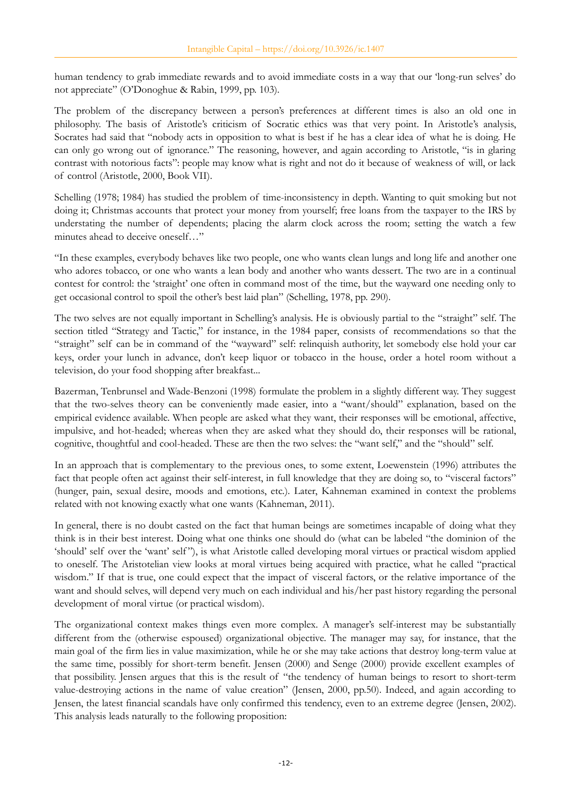human tendency to grab immediate rewards and to avoid immediate costs in a way that our 'long-run selves' do not appreciate" (O'Donoghue & Rabin, 1999, pp. 103).

The problem of the discrepancy between a person's preferences at different times is also an old one in philosophy. The basis of Aristotle's criticism of Socratic ethics was that very point. In Aristotle's analysis, Socrates had said that "nobody acts in opposition to what is best if he has a clear idea of what he is doing. He can only go wrong out of ignorance." The reasoning, however, and again according to Aristotle, "is in glaring contrast with notorious facts": people may know what is right and not do it because of weakness of will, or lack of control (Aristotle, 2000, Book VII).

Schelling (1978; 1984) has studied the problem of time-inconsistency in depth. Wanting to quit smoking but not doing it; Christmas accounts that protect your money from yourself; free loans from the taxpayer to the IRS by understating the number of dependents; placing the alarm clock across the room; setting the watch a few minutes ahead to deceive oneself…"

"In these examples, everybody behaves like two people, one who wants clean lungs and long life and another one who adores tobacco, or one who wants a lean body and another who wants dessert. The two are in a continual contest for control: the 'straight' one often in command most of the time, but the wayward one needing only to get occasional control to spoil the other's best laid plan" (Schelling, 1978, pp. 290).

The two selves are not equally important in Schelling's analysis. He is obviously partial to the "straight" self. The section titled "Strategy and Tactic," for instance, in the 1984 paper, consists of recommendations so that the "straight" self can be in command of the "wayward" self: relinquish authority, let somebody else hold your car keys, order your lunch in advance, don't keep liquor or tobacco in the house, order a hotel room without a television, do your food shopping after breakfast...

Bazerman, Tenbrunsel and Wade-Benzoni (1998) formulate the problem in a slightly different way. They suggest that the two-selves theory can be conveniently made easier, into a "want/should" explanation, based on the empirical evidence available. When people are asked what they want, their responses will be emotional, affective, impulsive, and hot-headed; whereas when they are asked what they should do, their responses will be rational, cognitive, thoughtful and cool-headed. These are then the two selves: the "want self," and the "should" self.

In an approach that is complementary to the previous ones, to some extent, Loewenstein (1996) attributes the fact that people often act against their self-interest, in full knowledge that they are doing so, to "visceral factors" (hunger, pain, sexual desire, moods and emotions, etc.). Later, Kahneman examined in context the problems related with not knowing exactly what one wants (Kahneman, 2011).

In general, there is no doubt casted on the fact that human beings are sometimes incapable of doing what they think is in their best interest. Doing what one thinks one should do (what can be labeled "the dominion of the 'should' self over the 'want' self "), is what Aristotle called developing moral virtues or practical wisdom applied to oneself. The Aristotelian view looks at moral virtues being acquired with practice, what he called "practical wisdom." If that is true, one could expect that the impact of visceral factors, or the relative importance of the want and should selves, will depend very much on each individual and his/her past history regarding the personal development of moral virtue (or practical wisdom).

The organizational context makes things even more complex. A manager's self-interest may be substantially different from the (otherwise espoused) organizational objective. The manager may say, for instance, that the main goal of the firm lies in value maximization, while he or she may take actions that destroy long-term value at the same time, possibly for short-term benefit. Jensen (2000) and Senge (2000) provide excellent examples of that possibility. Jensen argues that this is the result of "the tendency of human beings to resort to short-term value-destroying actions in the name of value creation" (Jensen, 2000, pp.50). Indeed, and again according to Jensen, the latest financial scandals have only confirmed this tendency, even to an extreme degree (Jensen, 2002). This analysis leads naturally to the following proposition: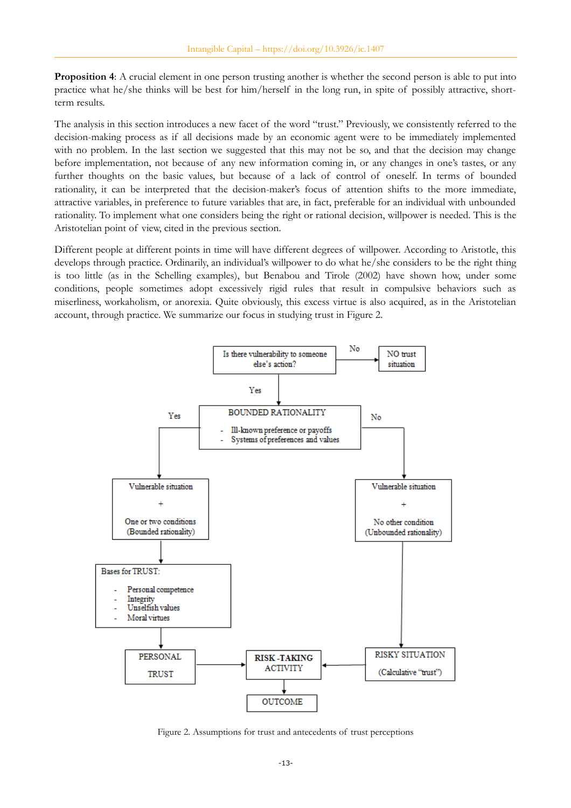**Proposition 4**: A crucial element in one person trusting another is whether the second person is able to put into practice what he/she thinks will be best for him/herself in the long run, in spite of possibly attractive, shortterm results.

The analysis in this section introduces a new facet of the word "trust." Previously, we consistently referred to the decision-making process as if all decisions made by an economic agent were to be immediately implemented with no problem. In the last section we suggested that this may not be so, and that the decision may change before implementation, not because of any new information coming in, or any changes in one's tastes, or any further thoughts on the basic values, but because of a lack of control of oneself. In terms of bounded rationality, it can be interpreted that the decision-maker's focus of attention shifts to the more immediate, attractive variables, in preference to future variables that are, in fact, preferable for an individual with unbounded rationality. To implement what one considers being the right or rational decision, willpower is needed. This is the Aristotelian point of view, cited in the previous section.

Different people at different points in time will have different degrees of willpower. According to Aristotle, this develops through practice. Ordinarily, an individual's willpower to do what he/she considers to be the right thing is too little (as in the Schelling examples), but Benabou and Tirole (2002) have shown how, under some conditions, people sometimes adopt excessively rigid rules that result in compulsive behaviors such as miserliness, workaholism, or anorexia. Quite obviously, this excess virtue is also acquired, as in the Aristotelian account, through practice. We summarize our focus in studying trust in Figure 2.



Figure 2. Assumptions for trust and antecedents of trust perceptions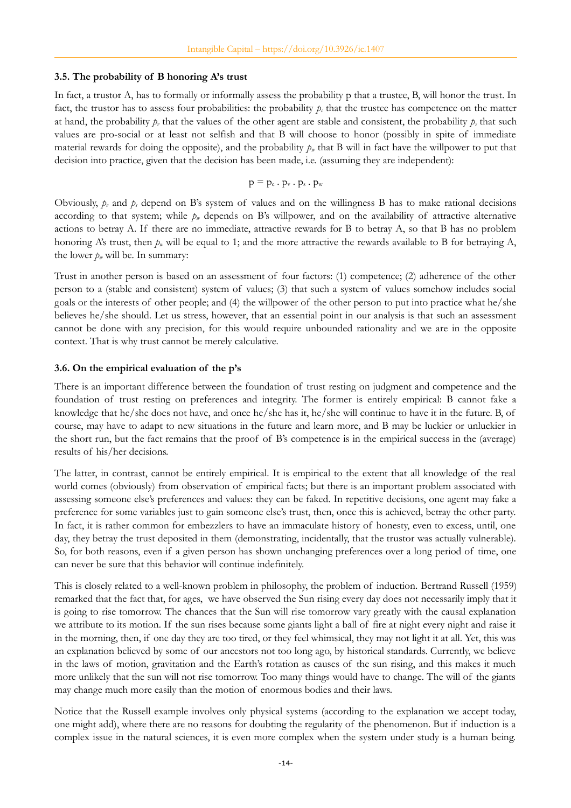#### **3.5. The probability of B honoring A's trust**

In fact, a trustor A, has to formally or informally assess the probability p that a trustee, B, will honor the trust. In fact, the trustor has to assess four probabilities: the probability  $p_c$  that the trustee has competence on the matter at hand, the probability  $p_\nu$  that the values of the other agent are stable and consistent, the probability  $p_\nu$  that such values are pro-social or at least not selfish and that B will choose to honor (possibly in spite of immediate material rewards for doing the opposite), and the probability *pw* that B will in fact have the willpower to put that decision into practice, given that the decision has been made, i.e. (assuming they are independent):

$$
p\equiv p_c\mathbin{.} p_v\mathbin{.} p_s\mathbin{.} p_w
$$

Obviously,  $p_\nu$  and  $p_\nu$  depend on B's system of values and on the willingness B has to make rational decisions according to that system; while  $p_w$  depends on B's willpower, and on the availability of attractive alternative actions to betray A. If there are no immediate, attractive rewards for B to betray A, so that B has no problem honoring A's trust, then *pw* will be equal to 1; and the more attractive the rewards available to B for betraying A, the lower  $p_w$  will be. In summary:

Trust in another person is based on an assessment of four factors: (1) competence; (2) adherence of the other person to a (stable and consistent) system of values; (3) that such a system of values somehow includes social goals or the interests of other people; and (4) the willpower of the other person to put into practice what he/she believes he/she should. Let us stress, however, that an essential point in our analysis is that such an assessment cannot be done with any precision, for this would require unbounded rationality and we are in the opposite context. That is why trust cannot be merely calculative.

#### **3.6. On the empirical evaluation of the p's**

There is an important difference between the foundation of trust resting on judgment and competence and the foundation of trust resting on preferences and integrity. The former is entirely empirical: B cannot fake a knowledge that he/she does not have, and once he/she has it, he/she will continue to have it in the future. B, of course, may have to adapt to new situations in the future and learn more, and B may be luckier or unluckier in the short run, but the fact remains that the proof of B's competence is in the empirical success in the (average) results of his/her decisions.

The latter, in contrast, cannot be entirely empirical. It is empirical to the extent that all knowledge of the real world comes (obviously) from observation of empirical facts; but there is an important problem associated with assessing someone else's preferences and values: they can be faked. In repetitive decisions, one agent may fake a preference for some variables just to gain someone else's trust, then, once this is achieved, betray the other party. In fact, it is rather common for embezzlers to have an immaculate history of honesty, even to excess, until, one day, they betray the trust deposited in them (demonstrating, incidentally, that the trustor was actually vulnerable). So, for both reasons, even if a given person has shown unchanging preferences over a long period of time, one can never be sure that this behavior will continue indefinitely.

This is closely related to a well-known problem in philosophy, the problem of induction. Bertrand Russell (1959) remarked that the fact that, for ages, we have observed the Sun rising every day does not necessarily imply that it is going to rise tomorrow. The chances that the Sun will rise tomorrow vary greatly with the causal explanation we attribute to its motion. If the sun rises because some giants light a ball of fire at night every night and raise it in the morning, then, if one day they are too tired, or they feel whimsical, they may not light it at all. Yet, this was an explanation believed by some of our ancestors not too long ago, by historical standards. Currently, we believe in the laws of motion, gravitation and the Earth's rotation as causes of the sun rising, and this makes it much more unlikely that the sun will not rise tomorrow. Too many things would have to change. The will of the giants may change much more easily than the motion of enormous bodies and their laws.

Notice that the Russell example involves only physical systems (according to the explanation we accept today, one might add), where there are no reasons for doubting the regularity of the phenomenon. But if induction is a complex issue in the natural sciences, it is even more complex when the system under study is a human being.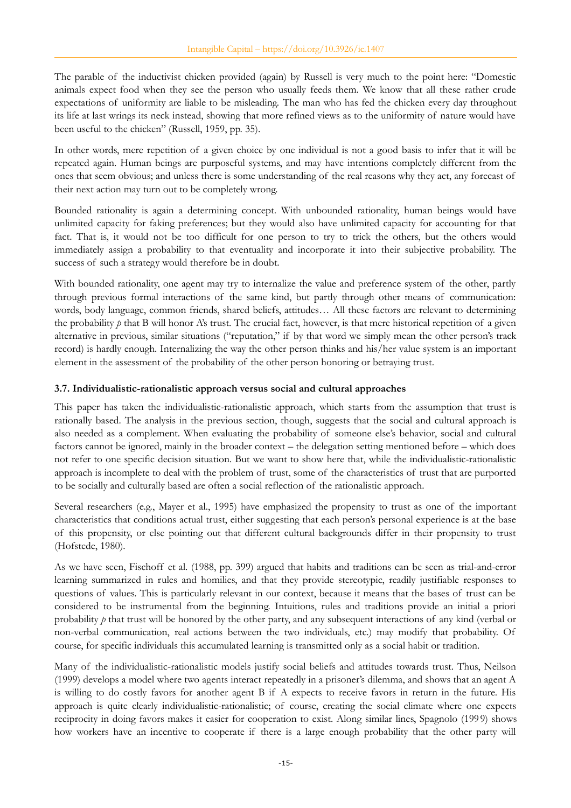The parable of the inductivist chicken provided (again) by Russell is very much to the point here: "Domestic animals expect food when they see the person who usually feeds them. We know that all these rather crude expectations of uniformity are liable to be misleading. The man who has fed the chicken every day throughout its life at last wrings its neck instead, showing that more refined views as to the uniformity of nature would have been useful to the chicken" (Russell, 1959, pp. 35).

In other words, mere repetition of a given choice by one individual is not a good basis to infer that it will be repeated again. Human beings are purposeful systems, and may have intentions completely different from the ones that seem obvious; and unless there is some understanding of the real reasons why they act, any forecast of their next action may turn out to be completely wrong.

Bounded rationality is again a determining concept. With unbounded rationality, human beings would have unlimited capacity for faking preferences; but they would also have unlimited capacity for accounting for that fact. That is, it would not be too difficult for one person to try to trick the others, but the others would immediately assign a probability to that eventuality and incorporate it into their subjective probability. The success of such a strategy would therefore be in doubt.

With bounded rationality, one agent may try to internalize the value and preference system of the other, partly through previous formal interactions of the same kind, but partly through other means of communication: words, body language, common friends, shared beliefs, attitudes… All these factors are relevant to determining the probability  $p$  that B will honor A's trust. The crucial fact, however, is that mere historical repetition of a given alternative in previous, similar situations ("reputation," if by that word we simply mean the other person's track record) is hardly enough. Internalizing the way the other person thinks and his/her value system is an important element in the assessment of the probability of the other person honoring or betraying trust.

### **3.7. Individualistic-rationalistic approach versus social and cultural approaches**

This paper has taken the individualistic-rationalistic approach, which starts from the assumption that trust is rationally based. The analysis in the previous section, though, suggests that the social and cultural approach is also needed as a complement. When evaluating the probability of someone else's behavior, social and cultural factors cannot be ignored, mainly in the broader context – the delegation setting mentioned before – which does not refer to one specific decision situation. But we want to show here that, while the individualistic-rationalistic approach is incomplete to deal with the problem of trust, some of the characteristics of trust that are purported to be socially and culturally based are often a social reflection of the rationalistic approach.

Several researchers (e.g., Mayer et al., 1995) have emphasized the propensity to trust as one of the important characteristics that conditions actual trust, either suggesting that each person's personal experience is at the base of this propensity, or else pointing out that different cultural backgrounds differ in their propensity to trust (Hofstede, 1980).

As we have seen, Fischoff et al. (1988, pp. 399) argued that habits and traditions can be seen as trial-and-error learning summarized in rules and homilies, and that they provide stereotypic, readily justifiable responses to questions of values. This is particularly relevant in our context, because it means that the bases of trust can be considered to be instrumental from the beginning. Intuitions, rules and traditions provide an initial a priori probability  $p$  that trust will be honored by the other party, and any subsequent interactions of any kind (verbal or non-verbal communication, real actions between the two individuals, etc.) may modify that probability. Of course, for specific individuals this accumulated learning is transmitted only as a social habit or tradition.

Many of the individualistic-rationalistic models justify social beliefs and attitudes towards trust. Thus, Neilson (1999) develops a model where two agents interact repeatedly in a prisoner's dilemma, and shows that an agent A is willing to do costly favors for another agent B if A expects to receive favors in return in the future. His approach is quite clearly individualistic-rationalistic; of course, creating the social climate where one expects reciprocity in doing favors makes it easier for cooperation to exist. Along similar lines, Spagnolo (1999) shows how workers have an incentive to cooperate if there is a large enough probability that the other party will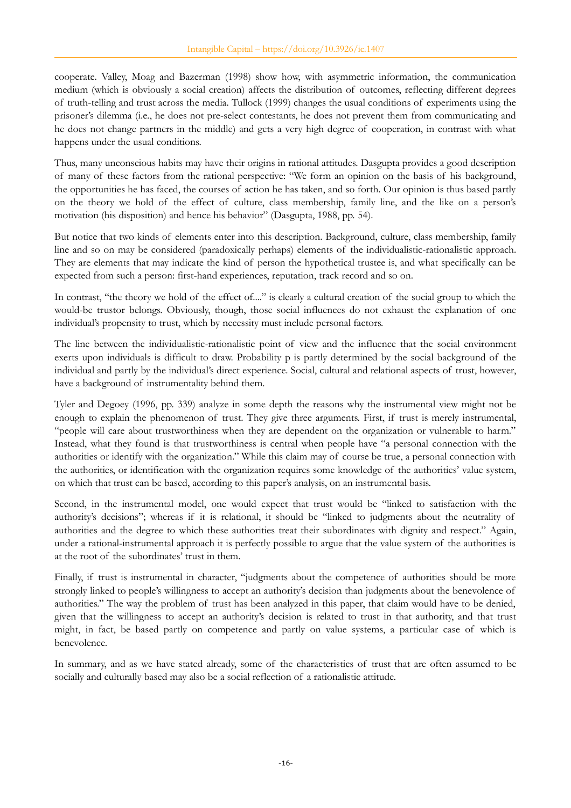cooperate. Valley, Moag and Bazerman (1998) show how, with asymmetric information, the communication medium (which is obviously a social creation) affects the distribution of outcomes, reflecting different degrees of truth-telling and trust across the media. Tullock (1999) changes the usual conditions of experiments using the prisoner's dilemma (i.e., he does not pre-select contestants, he does not prevent them from communicating and he does not change partners in the middle) and gets a very high degree of cooperation, in contrast with what happens under the usual conditions.

Thus, many unconscious habits may have their origins in rational attitudes. Dasgupta provides a good description of many of these factors from the rational perspective: "We form an opinion on the basis of his background, the opportunities he has faced, the courses of action he has taken, and so forth. Our opinion is thus based partly on the theory we hold of the effect of culture, class membership, family line, and the like on a person's motivation (his disposition) and hence his behavior" (Dasgupta, 1988, pp. 54).

But notice that two kinds of elements enter into this description. Background, culture, class membership, family line and so on may be considered (paradoxically perhaps) elements of the individualistic-rationalistic approach. They are elements that may indicate the kind of person the hypothetical trustee is, and what specifically can be expected from such a person: first-hand experiences, reputation, track record and so on.

In contrast, "the theory we hold of the effect of...." is clearly a cultural creation of the social group to which the would-be trustor belongs. Obviously, though, those social influences do not exhaust the explanation of one individual's propensity to trust, which by necessity must include personal factors.

The line between the individualistic-rationalistic point of view and the influence that the social environment exerts upon individuals is difficult to draw. Probability p is partly determined by the social background of the individual and partly by the individual's direct experience. Social, cultural and relational aspects of trust, however, have a background of instrumentality behind them.

Tyler and Degoey (1996, pp. 339) analyze in some depth the reasons why the instrumental view might not be enough to explain the phenomenon of trust. They give three arguments. First, if trust is merely instrumental, "people will care about trustworthiness when they are dependent on the organization or vulnerable to harm." Instead, what they found is that trustworthiness is central when people have "a personal connection with the authorities or identify with the organization." While this claim may of course be true, a personal connection with the authorities, or identification with the organization requires some knowledge of the authorities' value system, on which that trust can be based, according to this paper's analysis, on an instrumental basis.

Second, in the instrumental model, one would expect that trust would be "linked to satisfaction with the authority's decisions"; whereas if it is relational, it should be "linked to judgments about the neutrality of authorities and the degree to which these authorities treat their subordinates with dignity and respect." Again, under a rational-instrumental approach it is perfectly possible to argue that the value system of the authorities is at the root of the subordinates' trust in them.

Finally, if trust is instrumental in character, "judgments about the competence of authorities should be more strongly linked to people's willingness to accept an authority's decision than judgments about the benevolence of authorities." The way the problem of trust has been analyzed in this paper, that claim would have to be denied, given that the willingness to accept an authority's decision is related to trust in that authority, and that trust might, in fact, be based partly on competence and partly on value systems, a particular case of which is benevolence.

In summary, and as we have stated already, some of the characteristics of trust that are often assumed to be socially and culturally based may also be a social reflection of a rationalistic attitude.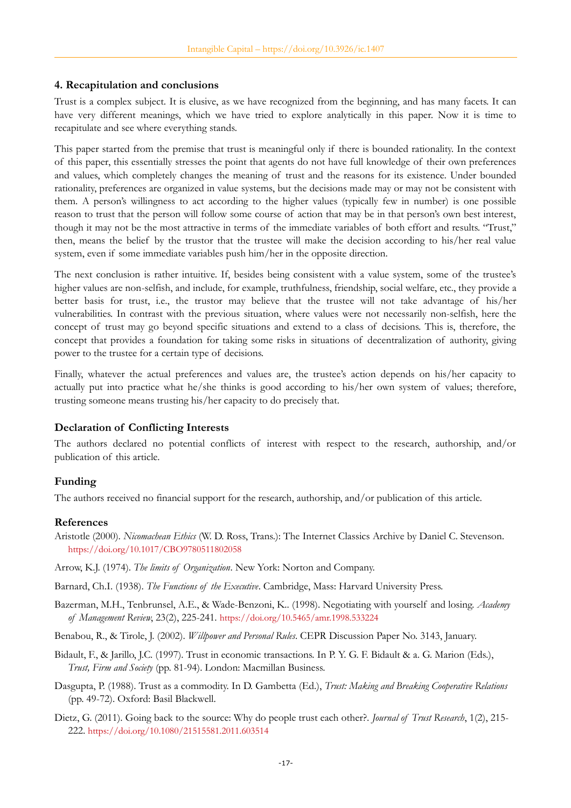#### **4. Recapitulation and conclusions**

Trust is a complex subject. It is elusive, as we have recognized from the beginning, and has many facets. It can have very different meanings, which we have tried to explore analytically in this paper. Now it is time to recapitulate and see where everything stands.

This paper started from the premise that trust is meaningful only if there is bounded rationality. In the context of this paper, this essentially stresses the point that agents do not have full knowledge of their own preferences and values, which completely changes the meaning of trust and the reasons for its existence. Under bounded rationality, preferences are organized in value systems, but the decisions made may or may not be consistent with them. A person's willingness to act according to the higher values (typically few in number) is one possible reason to trust that the person will follow some course of action that may be in that person's own best interest, though it may not be the most attractive in terms of the immediate variables of both effort and results. "Trust," then, means the belief by the trustor that the trustee will make the decision according to his/her real value system, even if some immediate variables push him/her in the opposite direction.

The next conclusion is rather intuitive. If, besides being consistent with a value system, some of the trustee's higher values are non-selfish, and include, for example, truthfulness, friendship, social welfare, etc., they provide a better basis for trust, i.e., the trustor may believe that the trustee will not take advantage of his/her vulnerabilities. In contrast with the previous situation, where values were not necessarily non-selfish, here the concept of trust may go beyond specific situations and extend to a class of decisions. This is, therefore, the concept that provides a foundation for taking some risks in situations of decentralization of authority, giving power to the trustee for a certain type of decisions.

Finally, whatever the actual preferences and values are, the trustee's action depends on his/her capacity to actually put into practice what he/she thinks is good according to his/her own system of values; therefore, trusting someone means trusting his/her capacity to do precisely that.

## **Declaration of Conflicting Interests**

The authors declared no potential conflicts of interest with respect to the research, authorship, and/or publication of this article.

## **Funding**

The authors received no financial support for the research, authorship, and/or publication of this article.

#### **References**

- Aristotle (2000). *Nicomachean Ethics* (W. D. Ross, Trans.): The Internet Classics Archive by Daniel C. Stevenson. <https://doi.org/10.1017/CBO9780511802058>
- Arrow, K.J. (1974). *The limits of Organization*. New York: Norton and Company.
- Barnard, Ch.I. (1938). *The Functions of the Executive*. Cambridge, Mass: Harvard University Press.
- Bazerman, M.H., Tenbrunsel, A.E., & Wade-Benzoni, K.. (1998). Negotiating with yourself and losing. *Academy of Management Review*, 23(2), 225-241. <https://doi.org/10.5465/amr.1998.533224>
- Benabou, R., & Tirole, J. (2002). *Willpower and Personal Rules*. CEPR Discussion Paper No. 3143, January.
- Bidault, F., & Jarillo, J.C. (1997). Trust in economic transactions. In P. Y. G. F. Bidault & a. G. Marion (Eds.), *Trust, Firm and Society* (pp. 81-94). London: Macmillan Business.
- Dasgupta, P. (1988). Trust as a commodity. In D. Gambetta (Ed.), *Trust: Making and Breaking Cooperative Relations* (pp. 49-72). Oxford: Basil Blackwell.
- Dietz, G. (2011). Going back to the source: Why do people trust each other?. *Journal of Trust Research*, 1(2), 215- 222. <https://doi.org/10.1080/21515581.2011.603514>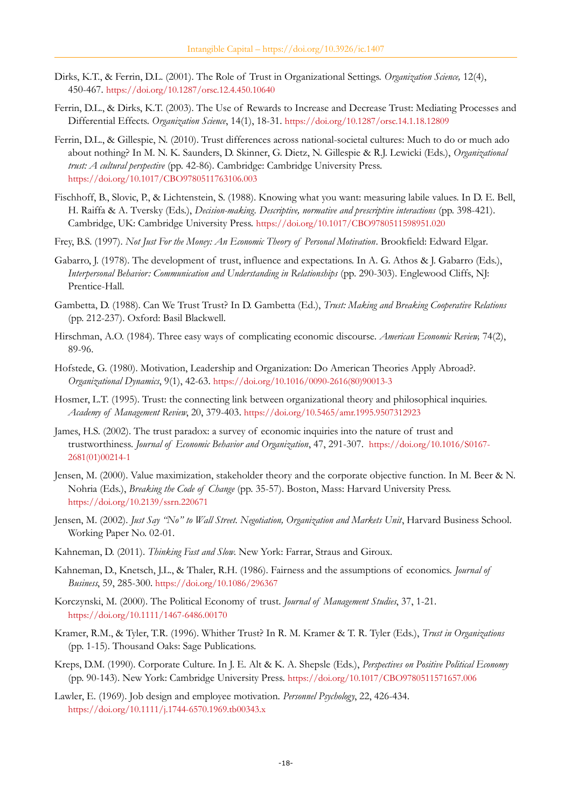- Dirks, K.T., & Ferrin, D.L. (2001). The Role of Trust in Organizational Settings. *Organization Science,* 12(4), 450-467. <https://doi.org/10.1287/orsc.12.4.450.10640>
- Ferrin, D.L., & Dirks, K.T. (2003). The Use of Rewards to Increase and Decrease Trust: Mediating Processes and Differential Effects. *Organization Science*, 14(1), 18-31. <https://doi.org/10.1287/orsc.14.1.18.12809>
- Ferrin, D.L., & Gillespie, N. (2010). Trust differences across national-societal cultures: Much to do or much ado about nothing? In M. N. K. Saunders, D. Skinner, G. Dietz, N. Gillespie & R.J. Lewicki (Eds.), *Organizational trust: A cultural perspective* (pp. 42-86). Cambridge: Cambridge University Press. <https://doi.org/10.1017/CBO9780511763106.003>
- Fischhoff, B., Slovic, P., & Lichtenstein, S. (1988). Knowing what you want: measuring labile values. In D. E. Bell, H. Raiffa & A. Tversky (Eds.), *Decision-making. Descriptive, normative and prescriptive interactions* (pp. 398-421). Cambridge, UK: Cambridge University Press. <https://doi.org/10.1017/CBO9780511598951.020>
- Frey, B.S. (1997). *Not Just For the Money: An Economic Theory of Personal Motivation*. Brookfield: Edward Elgar.
- Gabarro, J. (1978). The development of trust, influence and expectations. In A. G. Athos & J. Gabarro (Eds.), *Interpersonal Behavior: Communication and Understanding in Relationships* (pp. 290-303). Englewood Cliffs, NJ: Prentice-Hall.
- Gambetta, D. (1988). Can We Trust Trust? In D. Gambetta (Ed.), *Trust: Making and Breaking Cooperative Relations* (pp. 212-237). Oxford: Basil Blackwell.
- Hirschman, A.O. (1984). Three easy ways of complicating economic discourse. *American Economic Review,* 74(2), 89-96.
- Hofstede, G. (1980). Motivation, Leadership and Organization: Do American Theories Apply Abroad?. *Organizational Dynamics*, 9(1), 42-63. [https://doi.org/10.1016/0090-2616\(80\)90013-3](https://doi.org/10.1016/0090-2616(80)90013-3)
- Hosmer, L.T. (1995). Trust: the connecting link between organizational theory and philosophical inquiries. *Academy of Management Review*, 20, 379-403. <https://doi.org/10.5465/amr.1995.9507312923>
- James, H.S. (2002). The trust paradox: a survey of economic inquiries into the nature of trust and trustworthiness. *Journal of Economic Behavior and Organization*, 47, 291-307. [https://doi.org/10.1016/S0167-](https://doi.org/10.1016/S0167-2681(01)00214-1) [2681\(01\)00214-1](https://doi.org/10.1016/S0167-2681(01)00214-1)
- Jensen, M. (2000). Value maximization, stakeholder theory and the corporate objective function. In M. Beer & N. Nohria (Eds.), *Breaking the Code of Change* (pp. 35-57). Boston, Mass: Harvard University Press. <https://doi.org/10.2139/ssrn.220671>
- Jensen, M. (2002). *Just Say "No" to Wall Street. Negotiation, Organization and Markets Unit*, Harvard Business School. Working Paper No. 02-01.
- Kahneman, D. (2011). *Thinking Fast and Slow*. New York: Farrar, Straus and Giroux.
- Kahneman, D., Knetsch, J.L., & Thaler, R.H. (1986). Fairness and the assumptions of economics. *Journal of Business*, 59, 285-300. <https://doi.org/10.1086/296367>
- Korczynski, M. (2000). The Political Economy of trust. *Journal of Management Studies*, 37, 1-21. <https://doi.org/10.1111/1467-6486.00170>
- Kramer, R.M., & Tyler, T.R. (1996). Whither Trust? In R. M. Kramer & T. R. Tyler (Eds.), *Trust in Organizations* (pp. 1-15). Thousand Oaks: Sage Publications.
- Kreps, D.M. (1990). Corporate Culture. In J. E. Alt & K. A. Shepsle (Eds.), *Perspectives on Positive Political Economy* (pp. 90-143). New York: Cambridge University Press. <https://doi.org/10.1017/CBO9780511571657.006>
- Lawler, E. (1969). Job design and employee motivation. *Personnel Psychology*, 22, 426-434. <https://doi.org/10.1111/j.1744-6570.1969.tb00343.x>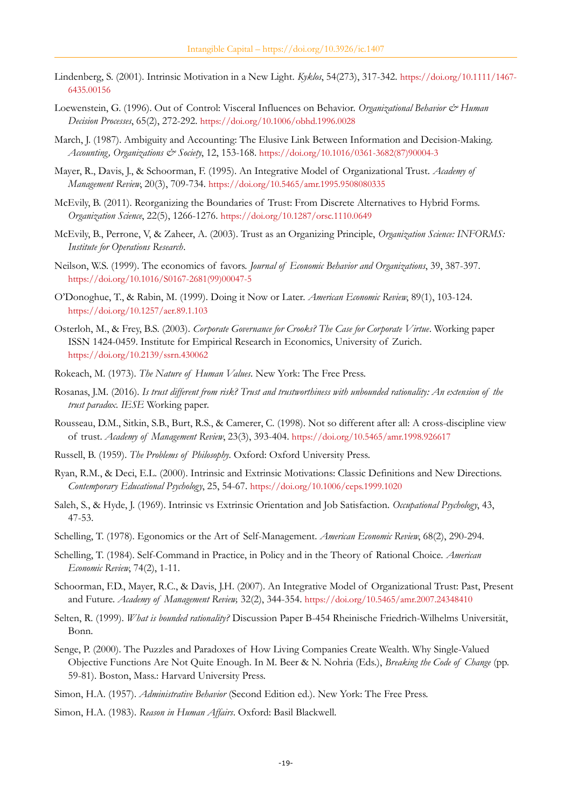- Lindenberg, S. (2001). Intrinsic Motivation in a New Light. *Kyklos*, 54(273), 317-342. [https://doi.org/10.1111/1467-](https://doi.org/10.1111/1467-6435.00156) [6435.00156](https://doi.org/10.1111/1467-6435.00156)
- Loewenstein, G. (1996). Out of Control: Visceral Influences on Behavior. *Organizational Behavior & Human Decision Processes*, 65(2), 272-292. <https://doi.org/10.1006/obhd.1996.0028>
- March, J. (1987). Ambiguity and Accounting: The Elusive Link Between Information and Decision-Making. *Accounting, Organizations & Society*, 12, 153-168. [https://doi.org/10.1016/0361-3682\(87\)90004-3](https://doi.org/10.1016/0361-3682(87)90004-3)
- Mayer, R., Davis, J., & Schoorman, F. (1995). An Integrative Model of Organizational Trust. *Academy of Management Review*, 20(3), 709-734. <https://doi.org/10.5465/amr.1995.9508080335>
- McEvily, B. (2011). Reorganizing the Boundaries of Trust: From Discrete Alternatives to Hybrid Forms. *Organization Science*, 22(5), 1266-1276. <https://doi.org/10.1287/orsc.1110.0649>
- McEvily, B., Perrone, V, & Zaheer, A. (2003). Trust as an Organizing Principle, *Organization Science: INFORMS: Institute for Operations Research*.
- Neilson, W.S. (1999). The economics of favors. *Journal of Economic Behavior and Organizations*, 39, 387-397. [https://doi.org/10.1016/S0167-2681\(99\)00047-5](https://doi.org/10.1016/S0167-2681(99)00047-5)
- O'Donoghue, T., & Rabin, M. (1999). Doing it Now or Later. *American Economic Review*, 89(1), 103-124. <https://doi.org/10.1257/aer.89.1.103>
- Osterloh, M., & Frey, B.S. (2003). *Corporate Governance for Crooks? The Case for Corporate Virtue*. Working paper ISSN 1424-0459. Institute for Empirical Research in Economics, University of Zurich. <https://doi.org/10.2139/ssrn.430062>
- Rokeach, M. (1973). *The Nature of Human Values*. New York: The Free Press.
- Rosanas, J.M. (2016). *Is trust different from risk? Trust and trustworthiness with unbounded rationality: An extension of the trust paradox. IESE* Working paper.
- Rousseau, D.M., Sitkin, S.B., Burt, R.S., & Camerer, C. (1998). Not so different after all: A cross-discipline view of trust. *Academy of Management Review*, 23(3), 393-404. <https://doi.org/10.5465/amr.1998.926617>
- Russell, B. (1959). *The Problems of Philosophy*. Oxford: Oxford University Press.
- Ryan, R.M., & Deci, E.L. (2000). Intrinsic and Extrinsic Motivations: Classic Definitions and New Directions. *Contemporary Educational Psychology*, 25, 54-67. <https://doi.org/10.1006/ceps.1999.1020>
- Saleh, S., & Hyde, J. (1969). Intrinsic vs Extrinsic Orientation and Job Satisfaction. *Occupational Psychology*, 43, 47-53.
- Schelling, T. (1978). Egonomics or the Art of Self-Management. *American Economic Review*, 68(2), 290-294.
- Schelling, T. (1984). Self-Command in Practice, in Policy and in the Theory of Rational Choice. *American Economic Review*, 74(2), 1-11.
- Schoorman, F.D., Mayer, R.C., & Davis, J.H. (2007). An Integrative Model of Organizational Trust: Past, Present and Future. *Academy of Management Review,* 32(2), 344-354. <https://doi.org/10.5465/amr.2007.24348410>
- Selten, R. (1999). *What is bounded rationality?* Discussion Paper B-454 Rheinische Friedrich-Wilhelms Universität, Bonn.
- Senge, P. (2000). The Puzzles and Paradoxes of How Living Companies Create Wealth. Why Single-Valued Objective Functions Are Not Quite Enough. In M. Beer & N. Nohria (Eds.), *Breaking the Code of Change* (pp. 59-81). Boston, Mass.: Harvard University Press.
- Simon, H.A. (1957). *Administrative Behavior* (Second Edition ed.). New York: The Free Press.
- Simon, H.A. (1983). *Reason in Human Affairs*. Oxford: Basil Blackwell.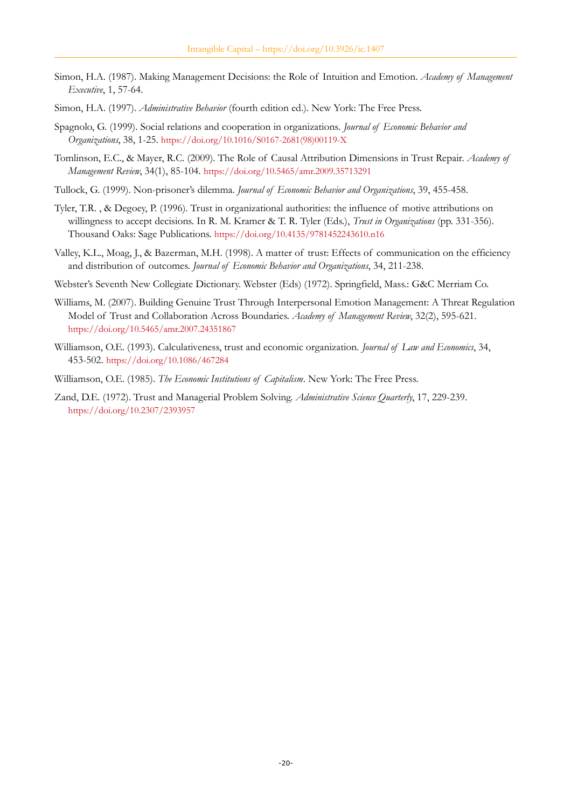- Simon, H.A. (1987). Making Management Decisions: the Role of Intuition and Emotion. *Academy of Management Executive*, 1, 57-64.
- Simon, H.A. (1997). *Administrative Behavior* (fourth edition ed.). New York: The Free Press.
- Spagnolo, G. (1999). Social relations and cooperation in organizations. *Journal of Economic Behavior and Organizations*, 38, 1-25. [https://doi.org/10.1016/S0167-2681\(98\)00119-X](https://doi.org/10.1016/S0167-2681(98)00119-X)
- Tomlinson, E.C., & Mayer, R.C. (2009). The Role of Causal Attribution Dimensions in Trust Repair. *Academy of Management Review*, 34(1), 85-104. <https://doi.org/10.5465/amr.2009.35713291>
- Tullock, G. (1999). Non-prisoner's dilemma. *Journal of Economic Behavior and Organizations*, 39, 455-458.
- Tyler, T.R. , & Degoey, P. (1996). Trust in organizational authorities: the influence of motive attributions on willingness to accept decisions. In R. M. Kramer & T. R. Tyler (Eds.), *Trust in Organizations* (pp. 331-356). Thousand Oaks: Sage Publications. <https://doi.org/10.4135/9781452243610.n16>
- Valley, K.L., Moag, J., & Bazerman, M.H. (1998). A matter of trust: Effects of communication on the efficiency and distribution of outcomes. *Journal of Economic Behavior and Organizations*, 34, 211-238.
- Webster's Seventh New Collegiate Dictionary. Webster (Eds) (1972). Springfield, Mass.: G&C Merriam Co.
- Williams, M. (2007). Building Genuine Trust Through Interpersonal Emotion Management: A Threat Regulation Model of Trust and Collaboration Across Boundaries. *Academy of Management Review*, 32(2), 595-621. <https://doi.org/10.5465/amr.2007.24351867>
- Williamson, O.E. (1993). Calculativeness, trust and economic organization. *Journal of Law and Economics*, 34, 453-502. <https://doi.org/10.1086/467284>
- Williamson, O.E. (1985). *The Economic Institutions of Capitalism*. New York: The Free Press.
- Zand, D.E. (1972). Trust and Managerial Problem Solving. *Administrative Science Quarterly*, 17, 229-239. <https://doi.org/10.2307/2393957>